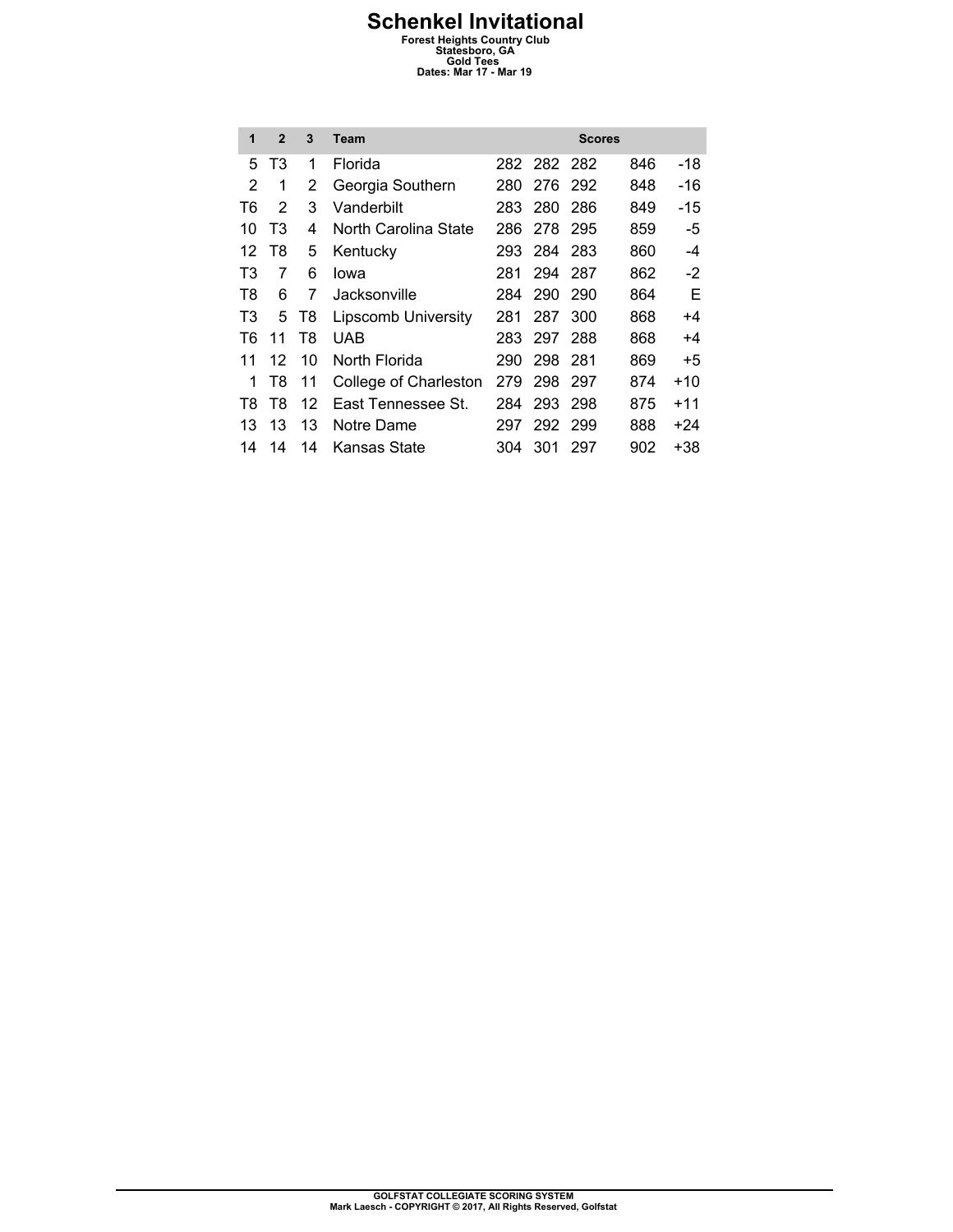| 1  | $\overline{2}$    | 3  | Team                       |     |             | <b>Scores</b> |     |       |
|----|-------------------|----|----------------------------|-----|-------------|---------------|-----|-------|
| 5  | T3                | 1  | Florida                    |     | 282 282 282 |               | 846 | -18   |
| 2  | 1                 | 2  | Georgia Southern           | 280 |             | 276 292       | 848 | -16   |
| T6 | 2                 | 3  | Vanderbilt                 | 283 | 280         | 286           | 849 | -15   |
| 10 | T3                | 4  | North Carolina State       | 286 | 278         | -295          | 859 | -5    |
| 12 | T8                | 5  | Kentucky                   | 293 | 284         | 283           | 860 | -4    |
| T3 | 7                 | 6  | lowa                       | 281 | 294         | 287           | 862 | $-2$  |
| T8 | 6                 | 7  | Jacksonville               | 284 | 290         | 290           | 864 | E     |
| T3 | 5                 | T8 | <b>Lipscomb University</b> | 281 | 287         | 300           | 868 | +4    |
| T6 | 11                | T8 | <b>UAB</b>                 |     | 283 297     | 288           | 868 | +4    |
| 11 | $12 \overline{ }$ | 10 | North Florida              | 290 | 298         | 281           | 869 | $+5$  |
| 1  | T8                | 11 | College of Charleston      | 279 | -298        | -297          | 874 | $+10$ |
| T8 | T8                | 12 | East Tennessee St.         | 284 | 293         | 298           | 875 | $+11$ |
| 13 | 13                | 13 | Notre Dame                 | 297 | 292 299     |               | 888 | +24   |
| 14 | 14                | 14 | Kansas State               | 304 | 301         | 297           | 902 | +38   |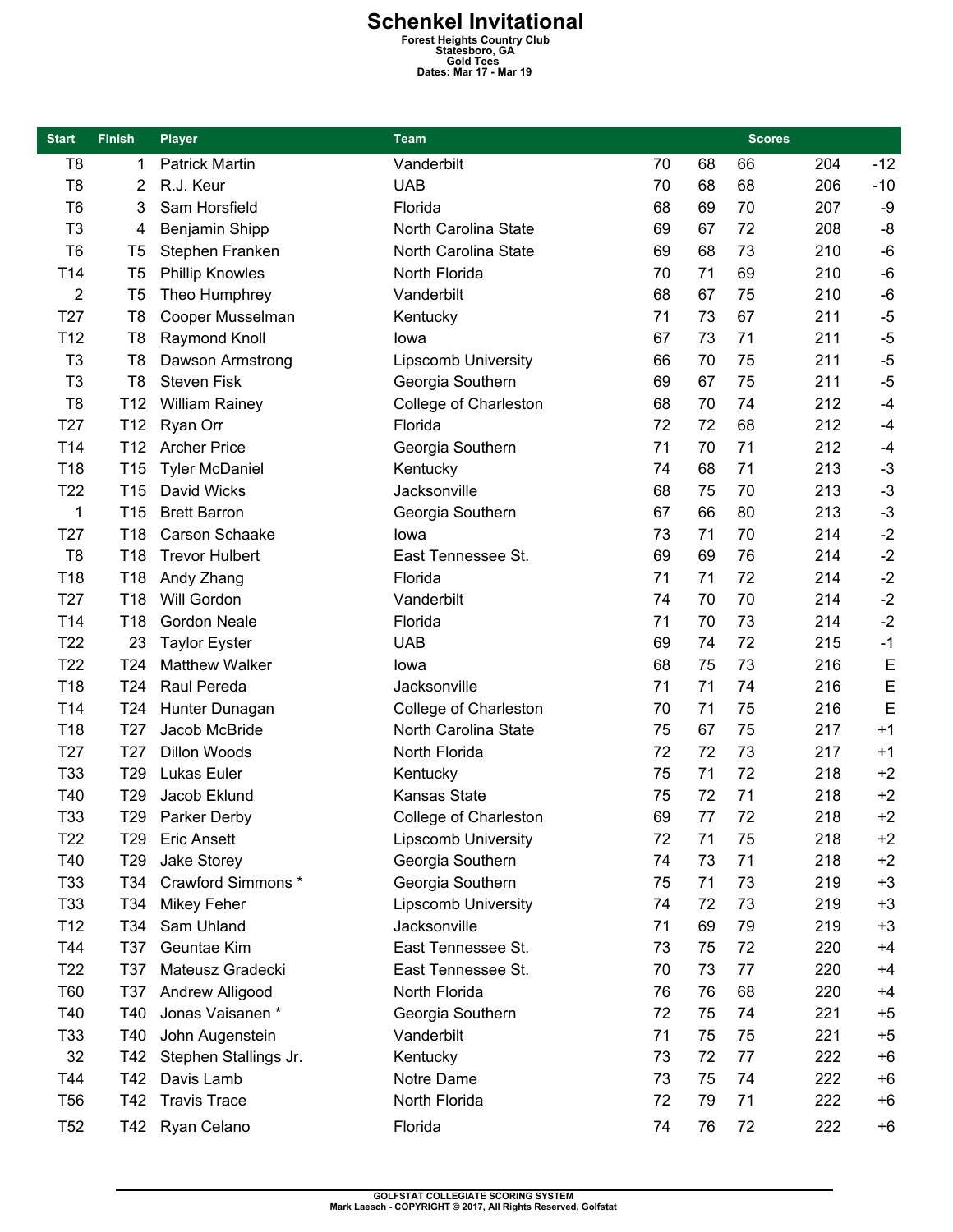# **Schenkel Invitational**<br>
Forest Heights Country Club<br>
Statesboro, GA<br>
Cold Tees<br>
Dates: Mar 17 - Mar 19

| <b>Start</b>    | <b>Finish</b>   | <b>Player</b>          |                            | <b>Scores</b> |    |    |     |       |  |
|-----------------|-----------------|------------------------|----------------------------|---------------|----|----|-----|-------|--|
| T <sub>8</sub>  | 1               | <b>Patrick Martin</b>  | Vanderbilt                 | 70            | 68 | 66 | 204 | $-12$ |  |
| T <sub>8</sub>  | 2               | R.J. Keur              | <b>UAB</b>                 | 70            | 68 | 68 | 206 | $-10$ |  |
| T <sub>6</sub>  | 3               | Sam Horsfield          | Florida                    | 68            | 69 | 70 | 207 | -9    |  |
| T <sub>3</sub>  | 4               | Benjamin Shipp         | North Carolina State       | 69            | 67 | 72 | 208 | -8    |  |
| T <sub>6</sub>  | T <sub>5</sub>  | Stephen Franken        | North Carolina State       | 69            | 68 | 73 | 210 | $-6$  |  |
| T14             | T <sub>5</sub>  | <b>Phillip Knowles</b> | North Florida              | 70            | 71 | 69 | 210 | $-6$  |  |
| 2               | T <sub>5</sub>  | Theo Humphrey          | Vanderbilt                 | 68            | 67 | 75 | 210 | $-6$  |  |
| T <sub>27</sub> | T <sub>8</sub>  | Cooper Musselman       | Kentucky                   | 71            | 73 | 67 | 211 | $-5$  |  |
| T <sub>12</sub> | T <sub>8</sub>  | Raymond Knoll          | lowa                       | 67            | 73 | 71 | 211 | $-5$  |  |
| T <sub>3</sub>  | T <sub>8</sub>  | Dawson Armstrong       | <b>Lipscomb University</b> | 66            | 70 | 75 | 211 | $-5$  |  |
| T <sub>3</sub>  | T <sub>8</sub>  | <b>Steven Fisk</b>     | Georgia Southern           | 69            | 67 | 75 | 211 | $-5$  |  |
| T <sub>8</sub>  | T <sub>12</sub> | <b>William Rainey</b>  | College of Charleston      | 68            | 70 | 74 | 212 | $-4$  |  |
| T <sub>27</sub> | T <sub>12</sub> | Ryan Orr               | Florida                    | 72            | 72 | 68 | 212 | $-4$  |  |
| T14             | T <sub>12</sub> | <b>Archer Price</b>    | Georgia Southern           | 71            | 70 | 71 | 212 | $-4$  |  |
| T18             | T <sub>15</sub> | <b>Tyler McDaniel</b>  | Kentucky                   | 74            | 68 | 71 | 213 | $-3$  |  |
| T <sub>22</sub> | T <sub>15</sub> | David Wicks            | Jacksonville               | 68            | 75 | 70 | 213 | $-3$  |  |
| 1               | T <sub>15</sub> | <b>Brett Barron</b>    | Georgia Southern           | 67            | 66 | 80 | 213 | $-3$  |  |
| T <sub>27</sub> | T <sub>18</sub> | Carson Schaake         | lowa                       | 73            | 71 | 70 | 214 | $-2$  |  |
| T <sub>8</sub>  | T18             | <b>Trevor Hulbert</b>  | East Tennessee St.         | 69            | 69 | 76 | 214 | $-2$  |  |
| T18             | T <sub>18</sub> | Andy Zhang             | Florida                    | 71            | 71 | 72 | 214 | $-2$  |  |
| T <sub>27</sub> | T <sub>18</sub> | Will Gordon            | Vanderbilt                 | 74            | 70 | 70 | 214 | $-2$  |  |
| T14             | T <sub>18</sub> | <b>Gordon Neale</b>    | Florida                    | 71            | 70 | 73 | 214 | $-2$  |  |
| T <sub>22</sub> | 23              | <b>Taylor Eyster</b>   | <b>UAB</b>                 | 69            | 74 | 72 | 215 | $-1$  |  |
| T <sub>22</sub> | T24             | <b>Matthew Walker</b>  | lowa                       | 68            | 75 | 73 | 216 | E     |  |
| T18             | T24             | Raul Pereda            | Jacksonville               | 71            | 71 | 74 | 216 | E     |  |
| T14             | T <sub>24</sub> | Hunter Dunagan         | College of Charleston      | 70            | 71 | 75 | 216 | E     |  |
| T <sub>18</sub> | T <sub>27</sub> | Jacob McBride          | North Carolina State       | 75            | 67 | 75 | 217 | $+1$  |  |
| T <sub>27</sub> | T <sub>27</sub> | <b>Dillon Woods</b>    | North Florida              | 72            | 72 | 73 | 217 | $+1$  |  |
| T33             | T <sub>29</sub> | Lukas Euler            | Kentucky                   | 75            | 71 | 72 | 218 | $+2$  |  |
| T40             | T <sub>29</sub> | Jacob Eklund           | Kansas State               | 75            | 72 | 71 | 218 | $+2$  |  |
| T33             | T <sub>29</sub> | Parker Derby           | College of Charleston      | 69            | 77 | 72 | 218 | $+2$  |  |
| T <sub>22</sub> | T29             | <b>Eric Ansett</b>     | <b>Lipscomb University</b> | 72            | 71 | 75 | 218 | $+2$  |  |
| T40             | T <sub>29</sub> | Jake Storey            | Georgia Southern           | 74            | 73 | 71 | 218 | $+2$  |  |
| T33             | T34             | Crawford Simmons *     | Georgia Southern           | 75            | 71 | 73 | 219 | $+3$  |  |
| T33             | T34             | Mikey Feher            | <b>Lipscomb University</b> | 74            | 72 | 73 | 219 | $+3$  |  |
| T <sub>12</sub> | T34             | Sam Uhland             | Jacksonville               | 71            | 69 | 79 | 219 | $+3$  |  |
| T44             | T37             | Geuntae Kim            | East Tennessee St.         | 73            | 75 | 72 | 220 | $+4$  |  |
| T <sub>22</sub> | T37             | Mateusz Gradecki       | East Tennessee St.         | 70            | 73 | 77 | 220 | $+4$  |  |
| T60             | T37             | Andrew Alligood        | North Florida              | 76            | 76 | 68 | 220 | $+4$  |  |
| T40             | T40             | Jonas Vaisanen *       | Georgia Southern           | 72            | 75 | 74 | 221 | $+5$  |  |
| T33             | T40             | John Augenstein        | Vanderbilt                 | 71            | 75 | 75 | 221 | $+5$  |  |
| 32              | T42             | Stephen Stallings Jr.  | Kentucky                   | 73            | 72 | 77 | 222 | $+6$  |  |
| T44             | T42             | Davis Lamb             | Notre Dame                 | 73            | 75 | 74 | 222 | $+6$  |  |
| <b>T56</b>      | T42             | <b>Travis Trace</b>    | North Florida              | 72            | 79 | 71 | 222 | $+6$  |  |
| T <sub>52</sub> | T42             | Ryan Celano            | Florida                    | 74            | 76 | 72 | 222 | $+6$  |  |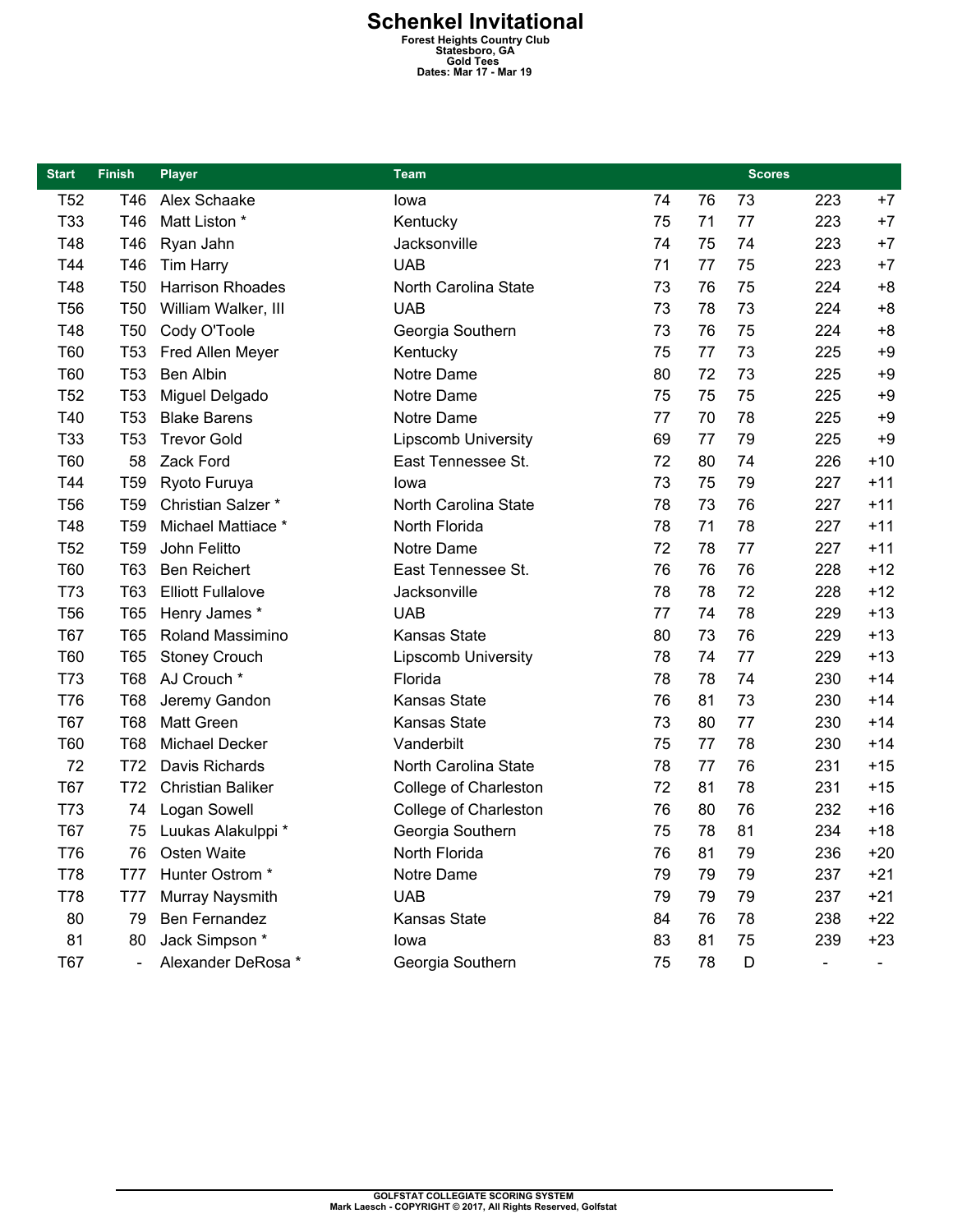## **Schenkel Invitational**<br>
Forest Heights Country Club<br>
Statesboro, GA<br>
Cold Tees<br>
Dates: Mar 17 - Mar 19

| <b>Start</b>    | <b>Finish</b>   | <b>Player</b>            | Team                       |    |    |    |     |       |  |
|-----------------|-----------------|--------------------------|----------------------------|----|----|----|-----|-------|--|
| T <sub>52</sub> | T46             | Alex Schaake             | lowa                       | 74 | 76 | 73 | 223 | $+7$  |  |
| T33             | T46             | Matt Liston *            | Kentucky                   | 75 | 71 | 77 | 223 | $+7$  |  |
| T48             | T46             | Ryan Jahn                | Jacksonville               | 74 | 75 | 74 | 223 | $+7$  |  |
| T44             | T46             | <b>Tim Harry</b>         | <b>UAB</b>                 | 71 | 77 | 75 | 223 | $+7$  |  |
| T48             | T <sub>50</sub> | <b>Harrison Rhoades</b>  | North Carolina State       | 73 | 76 | 75 | 224 | $+8$  |  |
| T <sub>56</sub> | T <sub>50</sub> | William Walker, III      | <b>UAB</b>                 | 73 | 78 | 73 | 224 | $+8$  |  |
| T48             | <b>T50</b>      | Cody O'Toole             | Georgia Southern           | 73 | 76 | 75 | 224 | $+8$  |  |
| T60             | T <sub>53</sub> | Fred Allen Meyer         | Kentucky                   | 75 | 77 | 73 | 225 | $+9$  |  |
| T60             | T <sub>53</sub> | Ben Albin                | Notre Dame                 | 80 | 72 | 73 | 225 | $+9$  |  |
| T <sub>52</sub> | <b>T53</b>      | Miguel Delgado           | Notre Dame                 | 75 | 75 | 75 | 225 | $+9$  |  |
| T40             | T <sub>53</sub> | <b>Blake Barens</b>      | Notre Dame                 | 77 | 70 | 78 | 225 | $+9$  |  |
| T33             | T <sub>53</sub> | <b>Trevor Gold</b>       | <b>Lipscomb University</b> | 69 | 77 | 79 | 225 | $+9$  |  |
| T60             | 58              | Zack Ford                | East Tennessee St.         | 72 | 80 | 74 | 226 | $+10$ |  |
| T44             | T <sub>59</sub> | Ryoto Furuya             | lowa                       | 73 | 75 | 79 | 227 | $+11$ |  |
| T <sub>56</sub> | T <sub>59</sub> | Christian Salzer*        | North Carolina State       | 78 | 73 | 76 | 227 | $+11$ |  |
| T48             | <b>T59</b>      | Michael Mattiace *       | North Florida              | 78 | 71 | 78 | 227 | $+11$ |  |
| T <sub>52</sub> | T <sub>59</sub> | John Felitto             | Notre Dame                 | 72 | 78 | 77 | 227 | $+11$ |  |
| T60             | T63             | <b>Ben Reichert</b>      | East Tennessee St.         | 76 | 76 | 76 | 228 | $+12$ |  |
| T73             | T63             | <b>Elliott Fullalove</b> | Jacksonville               | 78 | 78 | 72 | 228 | $+12$ |  |
| <b>T56</b>      | <b>T65</b>      | Henry James *            | <b>UAB</b>                 | 77 | 74 | 78 | 229 | $+13$ |  |
| T67             | <b>T65</b>      | <b>Roland Massimino</b>  | Kansas State               | 80 | 73 | 76 | 229 | $+13$ |  |
| T60             | <b>T65</b>      | <b>Stoney Crouch</b>     | <b>Lipscomb University</b> | 78 | 74 | 77 | 229 | $+13$ |  |
| T73             | T68             | AJ Crouch *              | Florida                    | 78 | 78 | 74 | 230 | $+14$ |  |
| T76             | <b>T68</b>      | Jeremy Gandon            | Kansas State               | 76 | 81 | 73 | 230 | $+14$ |  |
| T67             | <b>T68</b>      | <b>Matt Green</b>        | Kansas State               | 73 | 80 | 77 | 230 | $+14$ |  |
| T60             | <b>T68</b>      | Michael Decker           | Vanderbilt                 | 75 | 77 | 78 | 230 | $+14$ |  |
| 72              | T72             | Davis Richards           | North Carolina State       | 78 | 77 | 76 | 231 | $+15$ |  |
| <b>T67</b>      | T72             | <b>Christian Baliker</b> | College of Charleston      | 72 | 81 | 78 | 231 | $+15$ |  |
| T73             | 74              | Logan Sowell             | College of Charleston      | 76 | 80 | 76 | 232 | $+16$ |  |
| <b>T67</b>      | 75              | Luukas Alakulppi *       | Georgia Southern           | 75 | 78 | 81 | 234 | $+18$ |  |
| T76             | 76              | Osten Waite              | North Florida              | 76 | 81 | 79 | 236 | $+20$ |  |
| T78             | <b>T77</b>      | Hunter Ostrom *          | Notre Dame                 | 79 | 79 | 79 | 237 | $+21$ |  |
| T78             | <b>T77</b>      | Murray Naysmith          | <b>UAB</b>                 | 79 | 79 | 79 | 237 | $+21$ |  |
| 80              | 79              | Ben Fernandez            | Kansas State               | 84 | 76 | 78 | 238 | $+22$ |  |
| 81              | 80              | Jack Simpson *           | lowa                       | 83 | 81 | 75 | 239 | $+23$ |  |
| T67             |                 | Alexander DeRosa *       | Georgia Southern           | 75 | 78 | D  |     |       |  |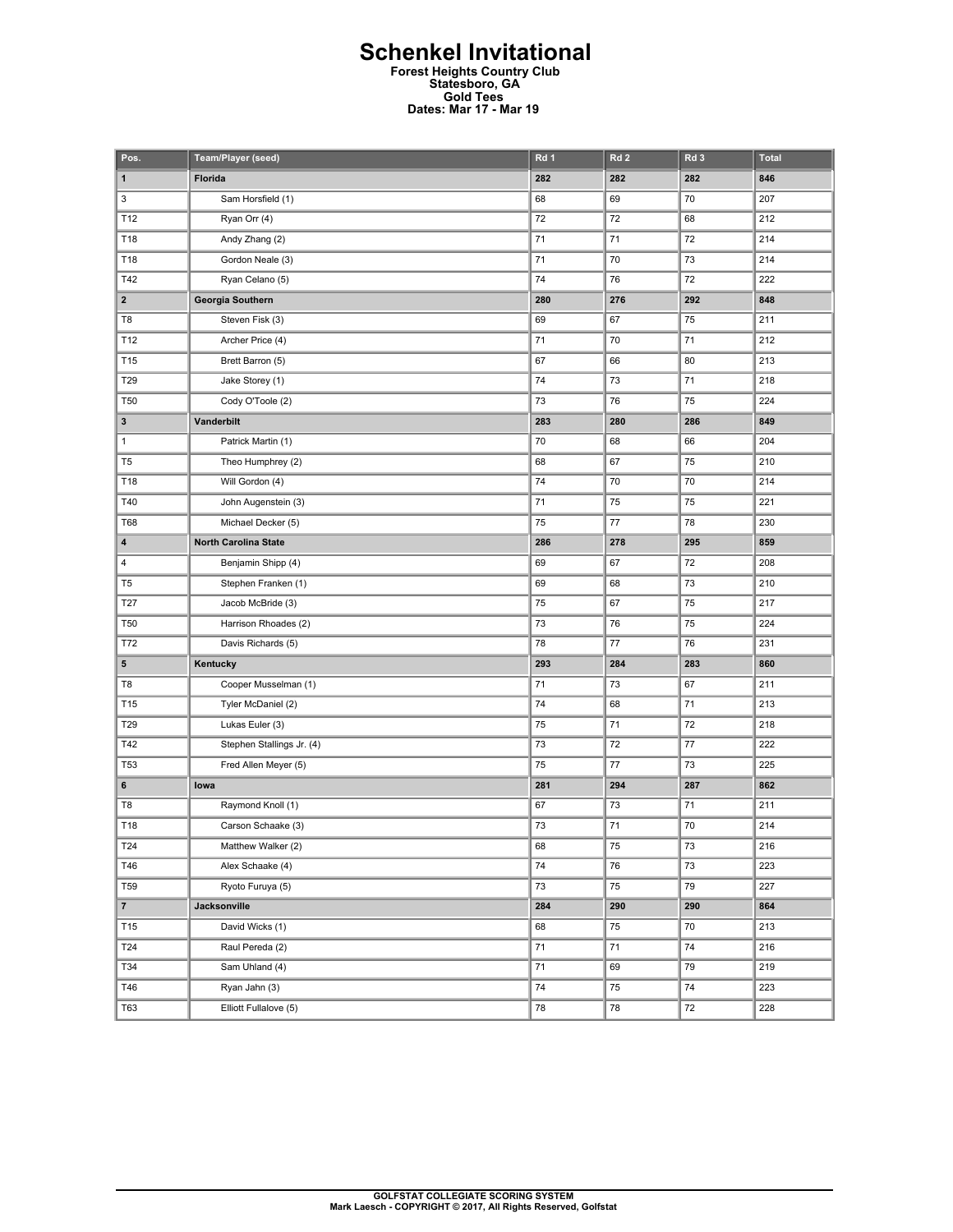#### **Schenkel Invitational Forest Heights Country Club Statesboro, GA Gold Tees Dates: Mar 17 - Mar 19**

| Pos.            | Team/Player (seed)        | Rd 1 | Rd <sub>2</sub> | Rd <sub>3</sub> | <b>Total</b> |
|-----------------|---------------------------|------|-----------------|-----------------|--------------|
| 1               | Florida                   | 282  | 282             | 282             | 846          |
| 3               | Sam Horsfield (1)         | 68   | 69              | 70              | 207          |
| T12             | Ryan Orr (4)              | 72   | 72              | 68              | 212          |
| T18             | Andy Zhang (2)            | 71   | 71              | 72              | 214          |
| T18             | Gordon Neale (3)          | 71   | 70              | 73              | 214          |
| T42             | Ryan Celano (5)           | 74   | 76              | 72              | 222          |
| $\mathbf{2}$    | Georgia Southern          | 280  | 276             | 292             | 848          |
| T8              | Steven Fisk (3)           | 69   | 67              | 75              | 211          |
| T12             | Archer Price (4)          | 71   | 70              | 71              | 212          |
| T15             | Brett Barron (5)          | 67   | 66              | 80              | 213          |
| T29             | Jake Storey (1)           | 74   | 73              | 71              | 218          |
| T <sub>50</sub> | Cody O'Toole (2)          | 73   | 76              | 75              | 224          |
| $\mathbf{3}$    | Vanderbilt                | 283  | 280             | 286             | 849          |
| $\mathbf{1}$    | Patrick Martin (1)        | 70   | 68              | 66              | 204          |
| T <sub>5</sub>  | Theo Humphrey (2)         | 68   | 67              | 75              | 210          |
| T18             | Will Gordon (4)           | 74   | 70              | 70              | 214          |
| T40             | John Augenstein (3)       | 71   | 75              | 75              | 221          |
| T68             | Michael Decker (5)        | 75   | 77              | 78              | 230          |
| 4               | North Carolina State      | 286  | 278             | 295             | 859          |
| 4               | Benjamin Shipp (4)        | 69   | 67              | 72              | 208          |
| T <sub>5</sub>  | Stephen Franken (1)       | 69   | 68              | 73              | 210          |
| T27             | Jacob McBride (3)         | 75   | 67              | 75              | 217          |
| <b>T50</b>      | Harrison Rhoades (2)      | 73   | 76              | 75              | 224          |
| T72             | Davis Richards (5)        | 78   | 77              | 76              | 231          |
| 5               | Kentucky                  | 293  | 284             | 283             | 860          |
| T8              | Cooper Musselman (1)      | 71   | 73              | 67              | 211          |
| T15             | Tyler McDaniel (2)        | 74   | 68              | 71              | 213          |
| T29             | Lukas Euler (3)           | 75   | 71              | 72              | 218          |
| T42             | Stephen Stallings Jr. (4) | 73   | 72              | $77 \,$         | 222          |
| T <sub>53</sub> | Fred Allen Meyer (5)      | 75   | 77              | 73              | 225          |
| 6               | lowa                      | 281  | 294             | 287             | 862          |
| T8              | Raymond Knoll (1)         | 67   | 73              | 71              | 211          |
| T18             | Carson Schaake (3)        | 73   | 71              | 70              | 214          |
| T24             | Matthew Walker (2)        | 68   | 75              | 73              | 216          |
| T46             | Alex Schaake (4)          | 74   | 76              | 73              | 223          |
| <b>T59</b>      | Ryoto Furuya (5)          | 73   | 75              | 79              | 227          |
| $\mathbf{7}$    | Jacksonville              | 284  | 290             | 290             | 864          |
| T15             | David Wicks (1)           | 68   | 75              | 70              | 213          |
| T24             | Raul Pereda (2)           | 71   | 71              | 74              | 216          |
| T34             | Sam Uhland (4)            | 71   | 69              | 79              | 219          |
| T46             | Ryan Jahn (3)             | 74   | 75              | 74              | 223          |
| T63             | Elliott Fullalove (5)     | 78   | 78              | 72              | 228          |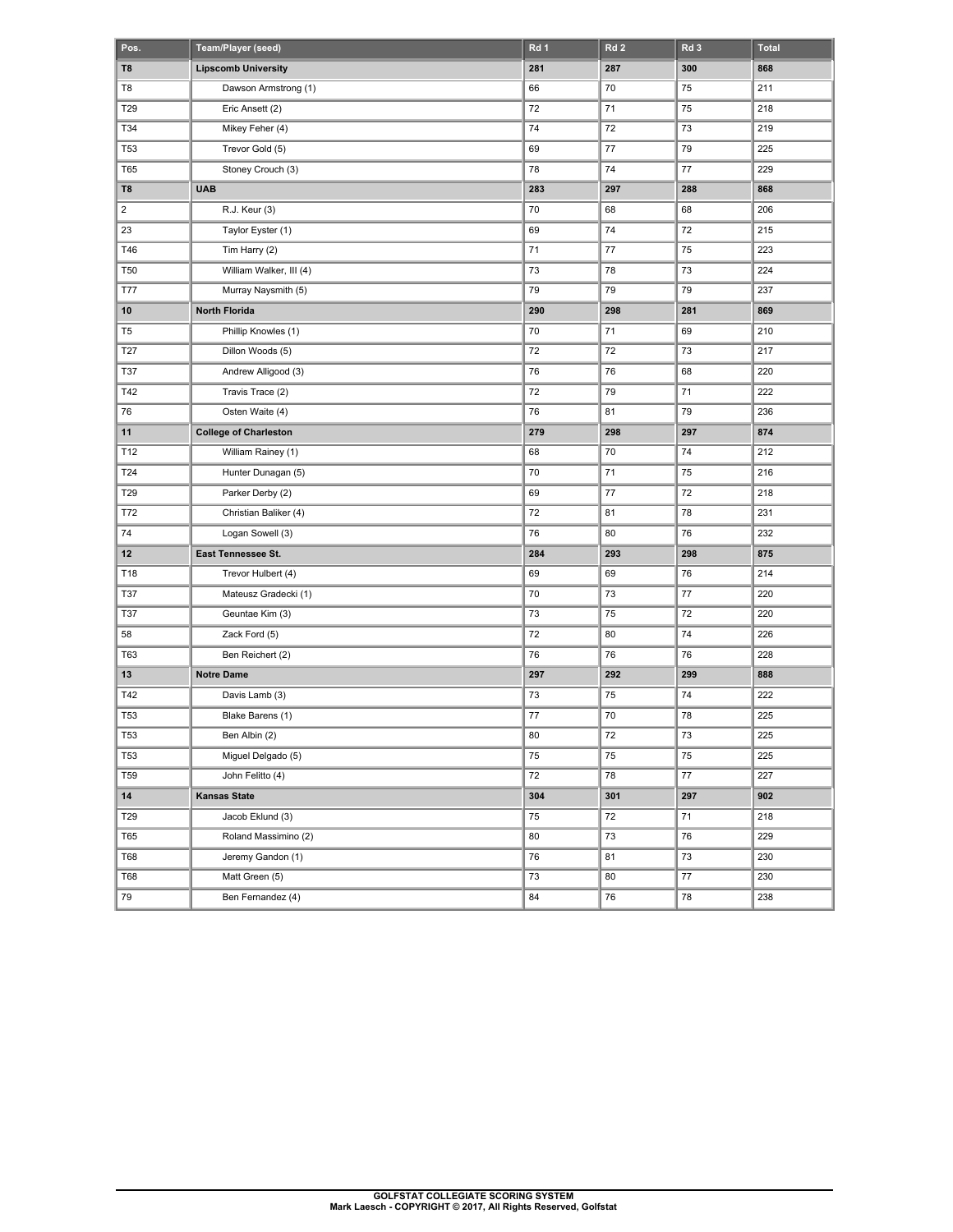| Pos.            | Team/Player (seed)           | Rd 1 | Rd <sub>2</sub> | Rd 3   | <b>Total</b> |
|-----------------|------------------------------|------|-----------------|--------|--------------|
| T8              | <b>Lipscomb University</b>   | 281  | 287             | 300    | 868          |
| T8              | Dawson Armstrong (1)         | 66   | 70              | 75     | 211          |
| T29             | Eric Ansett (2)              | 72   | 71              | 75     | 218          |
| T34             | Mikey Feher (4)              | 74   | 72              | 73     | 219          |
| T <sub>53</sub> | Trevor Gold (5)              | 69   | 77              | 79     | 225          |
| T65             | Stoney Crouch (3)            | 78   | 74              | 77     | 229          |
| T8              | <b>UAB</b>                   | 283  | 297             | 288    | 868          |
| 2               | R.J. Keur (3)                | 70   | 68              | 68     | 206          |
| 23              | Taylor Eyster (1)            | 69   | 74              | 72     | 215          |
| T46             | Tim Harry (2)                | 71   | 77              | 75     | 223          |
| <b>T50</b>      | William Walker, III (4)      | 73   | 78              | 73     | 224          |
| T77             | Murray Naysmith (5)          | 79   | 79              | 79     | 237          |
| 10              | North Florida                | 290  | 298             | 281    | 869          |
| T <sub>5</sub>  | Phillip Knowles (1)          | 70   | 71              | 69     | 210          |
| T27             | Dillon Woods (5)             | 72   | 72              | 73     | 217          |
| T37             | Andrew Alligood (3)          | 76   | 76              | 68     | 220          |
| T42             | Travis Trace (2)             | 72   | 79              | 71     | 222          |
| 76              | Osten Waite (4)              | 76   | 81              | 79     | 236          |
| 11              | <b>College of Charleston</b> | 279  | 298             | 297    | 874          |
| T12             | William Rainey (1)           | 68   | 70              | 74     | 212          |
| T24             | Hunter Dunagan (5)           | 70   | 71              | 75     | 216          |
| T29             | Parker Derby (2)             | 69   | 77              | 72     | 218          |
| T72             | Christian Baliker (4)        | 72   | 81              | 78     | 231          |
| 74              | Logan Sowell (3)             | 76   | 80              | 76     | 232          |
| $12 \,$         | East Tennessee St.           | 284  | 293             | 298    | 875          |
| T18             | Trevor Hulbert (4)           | 69   | 69              | 76     | 214          |
| T37             | Mateusz Gradecki (1)         | 70   | 73              | 77     | 220          |
| <b>T37</b>      | Geuntae Kim (3)              | 73   | 75              | 72     | 220          |
| 58              | Zack Ford (5)                | 72   | 80              | 74     | 226          |
| <b>T63</b>      | Ben Reichert (2)             | 76   | 76              | 76     | 228          |
| 13              | <b>Notre Dame</b>            | 297  | 292             | 299    | 888          |
| T42             | Davis Lamb (3)               | 73   | 75              | 74     | 222          |
| <b>T53</b>      | Blake Barens (1)             | 77   | 70              | 78     | 225          |
| T53             | Ben Albin (2)                | 80   | $72\,$          | $73\,$ | 225          |
| <b>T53</b>      | Miguel Delgado (5)           | 75   | 75              | 75     | 225          |
| T59             | John Felitto (4)             | 72   | 78              | 77     | 227          |
| 14              | <b>Kansas State</b>          | 304  | 301             | 297    | 902          |
| T29             | Jacob Eklund (3)             | 75   | 72              | 71     | 218          |
| T65             | Roland Massimino (2)         | 80   | 73              | 76     | 229          |
| T68             | Jeremy Gandon (1)            | 76   | 81              | 73     | 230          |
| T68             | Matt Green (5)               | 73   | 80              | $77\,$ | 230          |
| 79              | Ben Fernandez (4)            | 84   | 76              | 78     | 238          |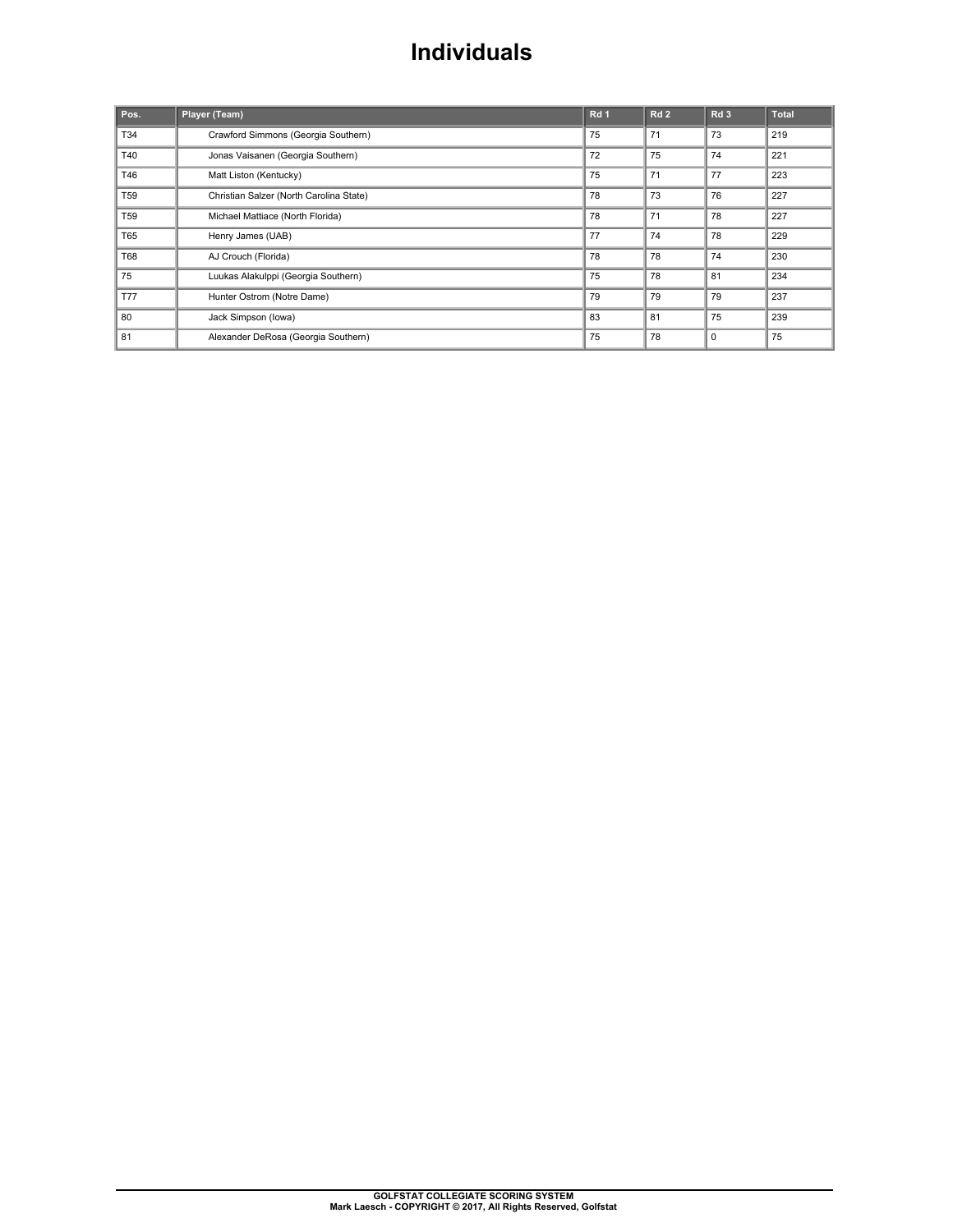### **Individuals**

| Pos.            | Player (Team)                           | Rd <sub>1</sub> | Rd2 | Rd <sub>3</sub> | <b>Total</b> |
|-----------------|-----------------------------------------|-----------------|-----|-----------------|--------------|
| T34             | Crawford Simmons (Georgia Southern)     | 75              | 71  | 73              | 219          |
| T40             | Jonas Vaisanen (Georgia Southern)       | 72              | 75  | 74              | 221          |
| T46             | Matt Liston (Kentucky)                  | 75              | 71  | 77              | 223          |
| T <sub>59</sub> | Christian Salzer (North Carolina State) | 78              | 73  | 76              | 227          |
| T <sub>59</sub> | Michael Mattiace (North Florida)        | 78              | 71  | 78              | 227          |
| T65             | Henry James (UAB)                       | 77              | 74  | 78              | 229          |
| T68             | AJ Crouch (Florida)                     | 78              | 78  | 74              | 230          |
| 75              | Luukas Alakulppi (Georgia Southern)     | 75              | 78  | 81              | 234          |
| <b>T77</b>      | Hunter Ostrom (Notre Dame)              | 79              | 79  | 79              | 237          |
| 80              | Jack Simpson (lowa)                     | 83              | 81  | 75              | 239          |
| 81              | Alexander DeRosa (Georgia Southern)     | 75              | 78  | $\mathbf 0$     | 75           |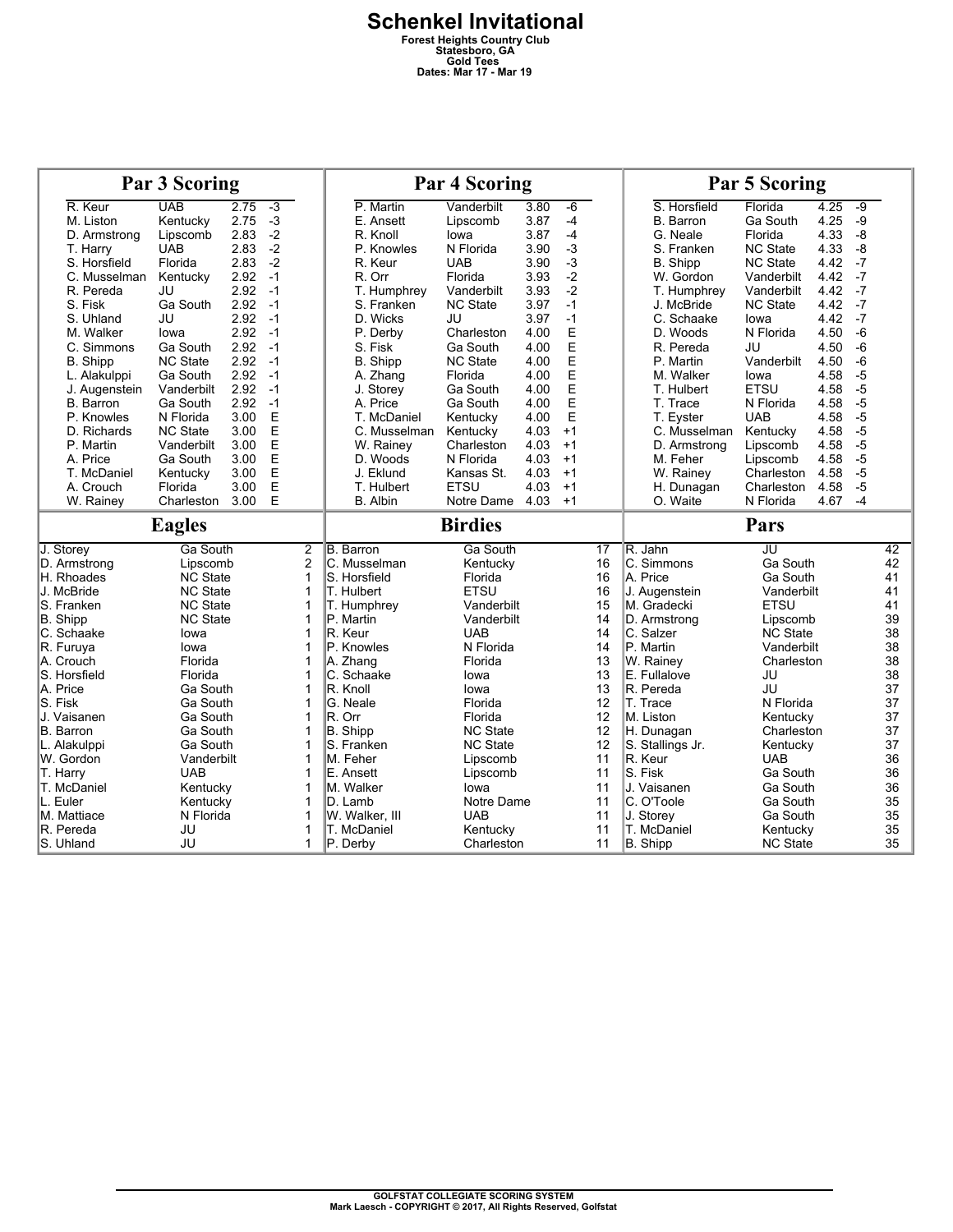|                        | <b>Par 3 Scoring</b> |      |      |        | <b>Par 4 Scoring</b>    |                        |      |      |                 | <b>Par 5 Scoring</b>    |                             |      |      |          |
|------------------------|----------------------|------|------|--------|-------------------------|------------------------|------|------|-----------------|-------------------------|-----------------------------|------|------|----------|
| R. Keur                | <b>UAB</b>           | 2.75 | $-3$ |        | P. Martin               | Vanderbilt             | 3.80 | $-6$ |                 | S. Horsfield            | Florida                     | 4.25 | $-9$ |          |
| M. Liston              | Kentucky             | 2.75 | $-3$ |        | E. Ansett               | Lipscomb               | 3.87 | $-4$ |                 | B. Barron               | Ga South                    | 4.25 | -9   |          |
| D. Armstrong           | Lipscomb             | 2.83 | $-2$ |        | R. Knoll                | lowa                   | 3.87 | $-4$ |                 | G. Neale                | Florida                     | 4.33 | $-8$ |          |
| T. Harry               | <b>UAB</b>           | 2.83 | $-2$ |        | P. Knowles              | N Florida              | 3.90 | $-3$ |                 | S. Franken              | <b>NC State</b>             | 4.33 | -8   |          |
| S. Horsfield           | Florida              | 2.83 | $-2$ |        | R. Keur                 | <b>UAB</b>             | 3.90 | $-3$ |                 | B. Shipp                | <b>NC State</b>             | 4.42 | $-7$ |          |
| C. Musselman           | Kentucky             | 2.92 | $-1$ |        | R. Orr                  | Florida                | 3.93 | $-2$ |                 | W. Gordon               | Vanderbilt                  | 4.42 | $-7$ |          |
| R. Pereda              | JU                   | 2.92 | $-1$ |        | T. Humphrey             | Vanderbilt             | 3.93 | $-2$ |                 | T. Humphrey             | Vanderbilt                  | 4.42 | $-7$ |          |
| S. Fisk                | Ga South             | 2.92 | $-1$ |        | S. Franken              | <b>NC State</b>        | 3.97 | $-1$ |                 | J. McBride              | <b>NC State</b>             | 4.42 | $-7$ |          |
| S. Uhland              | JU                   | 2.92 | $-1$ |        | D. Wicks                | JU                     | 3.97 | $-1$ |                 | C. Schaake              | lowa                        | 4.42 | $-7$ |          |
| M. Walker              | lowa                 | 2.92 | $-1$ |        | P. Derby                | Charleston             | 4.00 | E    |                 | D. Woods                | N Florida                   | 4.50 | $-6$ |          |
| C. Simmons             | Ga South             | 2.92 | $-1$ |        | S. Fisk                 | Ga South               | 4.00 | E    |                 | R. Pereda               | JU                          | 4.50 | $-6$ |          |
| B. Shipp               | <b>NC State</b>      | 2.92 | $-1$ |        | <b>B.</b> Shipp         | <b>NC State</b>        | 4.00 | E    |                 | P. Martin               | Vanderbilt                  | 4.50 | $-6$ |          |
| L. Alakulppi           | Ga South             | 2.92 | -1   |        | A. Zhang                | Florida                | 4.00 | E    |                 | M. Walker               | lowa                        | 4.58 | $-5$ |          |
| J. Augenstein          | Vanderbilt           | 2.92 | $-1$ |        | J. Storey               | Ga South               | 4.00 | E    |                 | T. Hulbert              | <b>ETSU</b>                 | 4.58 | $-5$ |          |
| <b>B.</b> Barron       | Ga South             | 2.92 | $-1$ |        | A. Price                | Ga South               | 4.00 | E    |                 | T. Trace                | N Florida                   | 4.58 | $-5$ |          |
| P. Knowles             | N Florida            | 3.00 | E    |        | T. McDaniel             | Kentucky               | 4.00 | E    |                 | T. Eyster               | <b>UAB</b>                  | 4.58 | $-5$ |          |
| D. Richards            | <b>NC State</b>      | 3.00 | E    |        | C. Musselman            | Kentucky               | 4.03 | $+1$ |                 | C. Musselman            | Kentucky                    | 4.58 | $-5$ |          |
| P. Martin              | Vanderbilt           | 3.00 | E    |        | W. Rainey               | Charleston             | 4.03 | $+1$ |                 | D. Armstrong            | Lipscomb                    | 4.58 | $-5$ |          |
| A. Price               | Ga South             | 3.00 | E    |        | D. Woods                | N Florida              | 4.03 | $+1$ |                 | M. Feher                | Lipscomb                    | 4.58 | $-5$ |          |
| T. McDaniel            | Kentucky             | 3.00 | E    |        | J. Eklund               | Kansas St.             | 4.03 | $+1$ |                 | W. Rainey               | Charleston                  | 4.58 | $-5$ |          |
| A. Crouch              | Florida              | 3.00 | E    |        | T. Hulbert              | <b>ETSU</b>            | 4.03 | $+1$ |                 | H. Dunagan              | Charleston                  | 4.58 | $-5$ |          |
| W. Rainey              | Charleston           | 3.00 | E    |        | B. Albin                | Notre Dame             | 4.03 | $+1$ |                 | O. Waite                | N Florida                   | 4.67 | $-4$ |          |
|                        |                      |      |      |        |                         |                        |      |      |                 |                         |                             |      |      |          |
|                        | <b>Eagles</b>        |      |      |        |                         | <b>Birdies</b>         |      |      |                 |                         | Pars                        |      |      |          |
| J. Storey              | Ga South             |      |      | 2      | <b>B.</b> Barron        | Ga South               |      |      | $\overline{17}$ | $R.$ Jahn               | JU                          |      |      | 42       |
| D. Armstrong           | Lipscomb             |      |      | 2      | C. Musselman            | Kentucky               |      |      | 16              | C. Simmons              | Ga South                    |      |      | 42       |
| H. Rhoades             | <b>NC State</b>      |      |      | 1      | S. Horsfield            | Florida                |      |      | 16              | A. Price                | Ga South                    |      |      | 41       |
| J. McBride             | <b>NC State</b>      |      |      | 1      | T. Hulbert              | <b>ETSU</b>            |      |      | 16              | J. Augenstein           | Vanderbilt                  |      |      | 41       |
| S. Franken             | <b>NC State</b>      |      |      | 1      | T. Humphrey             | Vanderbilt             |      |      | 15              | IM. Gradecki            | <b>ETSU</b>                 |      |      | 41       |
| <b>B.</b> Shipp        | <b>NC State</b>      |      |      | 1      | P. Martin               | Vanderbilt             |      |      | 14              | D. Armstrong            | Lipscomb                    |      |      | 39       |
| C. Schaake             | lowa                 |      |      | 1      | R. Keur                 | <b>UAB</b>             |      |      | 14              | C. Salzer               | <b>NC State</b>             |      |      | 38       |
| R. Furuya              | lowa                 |      |      | 1      | P. Knowles              | N Florida              |      |      | 14              | P. Martin               | Vanderbilt                  |      |      | 38       |
| A. Crouch              | Florida              |      |      | 1      | A. Zhang                | Florida                |      |      | 13              | W. Rainey               | Charleston                  |      |      | 38       |
| S. Horsfield           | Florida              |      |      | 1      | C. Schaake              | lowa                   |      |      | 13              | E. Fullalove            | JU                          |      |      | 38       |
| A. Price               | Ga South             |      |      | 1      | R. Knoll                | lowa                   |      |      | 13              | R. Pereda               | JU                          |      |      | 37       |
| S. Fisk                | Ga South             |      |      | 1      | G. Neale                | Florida                |      |      | 12              | <b>T.</b> Trace         | N Florida                   |      |      | 37       |
| J. Vaisanen            | Ga South             |      |      | 1      | R. Orr                  | Florida                |      |      | 12              | lM. Liston              | Kentucky                    |      |      | 37       |
| B. Barron              | Ga South             |      |      | 1      | B. Shipp                | <b>NC State</b>        |      |      | 12              | H. Dunagan              | Charleston                  |      |      | 37       |
| L. Alakulppi           | Ga South             |      |      | 1      | <b>S. Franken</b>       | <b>NC State</b>        |      |      | 12              | S. Stallings Jr.        | Kentucky                    |      |      | 37       |
| W. Gordon              | Vanderbilt           |      |      | 1      | M. Feher                | Lipscomb               |      |      | 11              | R. Keur                 | <b>UAB</b>                  |      |      | 36       |
| T. Harry               | <b>UAB</b>           |      |      | 1      | E. Ansett               | Lipscomb               |      |      | 11              | lS. Fisk                | Ga South                    |      |      | 36       |
| T. McDaniel            | Kentucky             |      |      | 1      | M. Walker               | lowa                   |      |      | 11              | J. Vaisanen             | Ga South                    |      |      | 36       |
| L. Euler               | Kentucky             |      |      | 1      | ID. Lamb                | Notre Dame             |      |      | 11              | C. O'Toole              | Ga South                    |      |      | 35       |
| M. Mattiace            | N Florida            |      |      |        | W. Walker, III          | <b>UAB</b>             |      |      | 11              | J. Storey               | Ga South                    |      |      | 35       |
| R. Pereda<br>S. Uhland | JU<br>JU             |      |      | 1<br>1 | T. McDaniel<br>P. Derby | Kentucky<br>Charleston |      |      | 11<br>11        | T. McDaniel<br>B. Shipp | Kentucky<br><b>NC State</b> |      |      | 35<br>35 |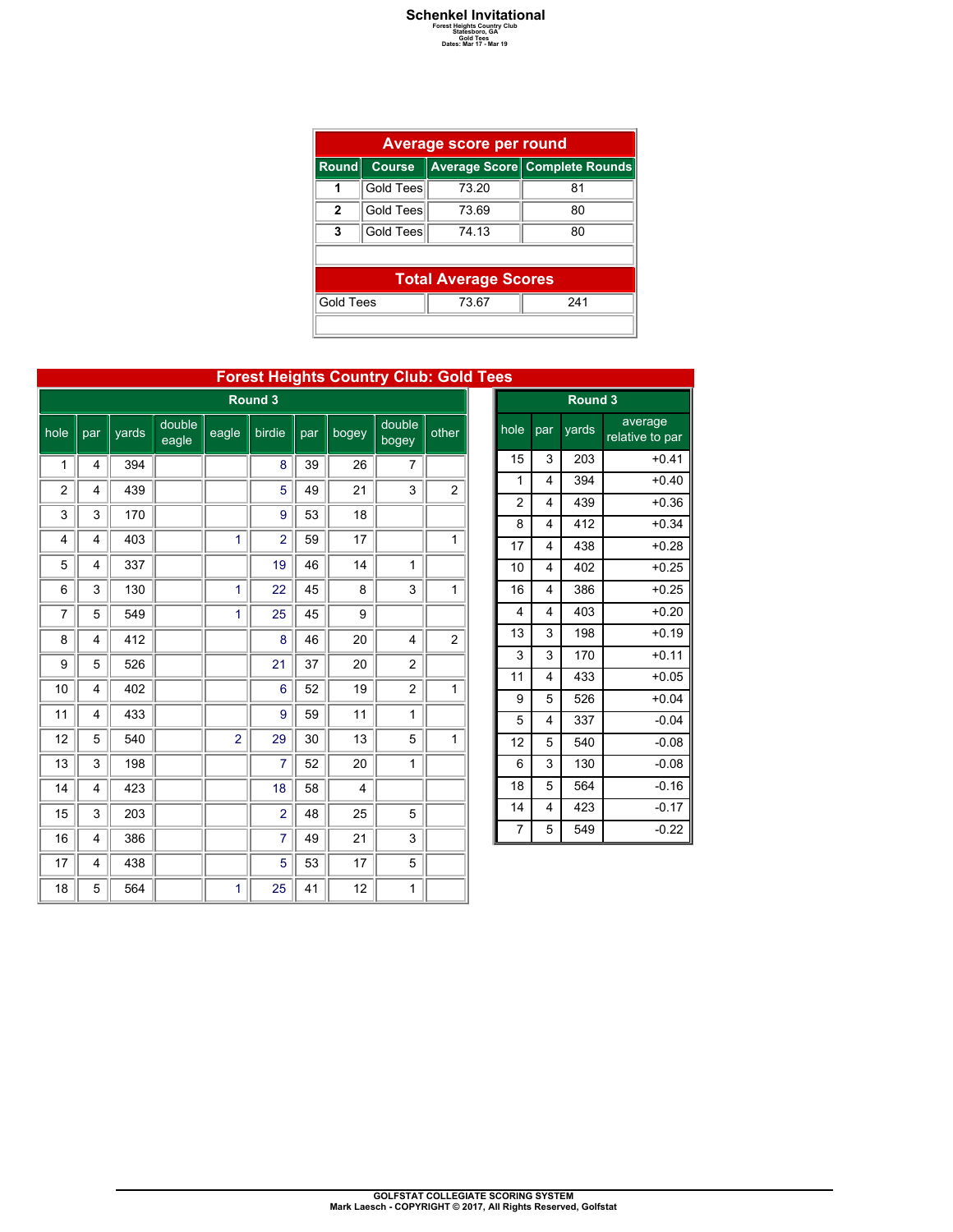## **Schenkel Invitational**<br>
Forest Heights Country Club<br>
Gold Tees<br>
Dates: Mar 17 - Mar 19

|              | Average score per round     |       |                               |  |  |  |  |  |  |  |
|--------------|-----------------------------|-------|-------------------------------|--|--|--|--|--|--|--|
| Round        | <b>Course</b>               |       | Average Score Complete Rounds |  |  |  |  |  |  |  |
| 1            | Gold Tees                   | 73.20 | 81                            |  |  |  |  |  |  |  |
| $\mathbf{2}$ | Gold Tees                   | 73.69 | 80                            |  |  |  |  |  |  |  |
| 3            | Gold Tees                   | 74 13 | 80                            |  |  |  |  |  |  |  |
|              |                             |       |                               |  |  |  |  |  |  |  |
|              | <b>Total Average Scores</b> |       |                               |  |  |  |  |  |  |  |
| Gold Tees    |                             | 73.67 | 241                           |  |  |  |  |  |  |  |
|              |                             |       |                               |  |  |  |  |  |  |  |

| <b>Forest Heights Country Club: Gold Tees</b> |                |       |                 |                |                |     |       |                 |                |  |  |
|-----------------------------------------------|----------------|-------|-----------------|----------------|----------------|-----|-------|-----------------|----------------|--|--|
|                                               |                |       |                 |                | Round 3        |     |       |                 |                |  |  |
| hole                                          | par            | yards | double<br>eagle | eagle          | birdie         | par | bogey | double<br>bogey | other          |  |  |
| 1                                             | $\overline{4}$ | 394   |                 |                | 8              | 39  | 26    | 7               |                |  |  |
| 2                                             | 4              | 439   |                 |                | 5              | 49  | 21    | 3               | $\overline{c}$ |  |  |
| 3                                             | 3              | 170   |                 |                | 9              | 53  | 18    |                 |                |  |  |
| 4                                             | 4              | 403   |                 | 1              | $\overline{2}$ | 59  | 17    |                 | $\mathbf{1}$   |  |  |
| 5                                             | 4              | 337   |                 |                | 19             | 46  | 14    | $\mathbf{1}$    |                |  |  |
| 6                                             | 3              | 130   |                 | 1              | 22             | 45  | 8     | 3               | 1              |  |  |
| 7                                             | 5              | 549   |                 | 1              | 25             | 45  | 9     |                 |                |  |  |
| 8                                             | 4              | 412   |                 |                | 8              | 46  | 20    | $\overline{4}$  | 2              |  |  |
| 9                                             | 5              | 526   |                 |                | 21             | 37  | 20    | $\overline{c}$  |                |  |  |
| 10                                            | 4              | 402   |                 |                | 6              | 52  | 19    | $\overline{c}$  | 1              |  |  |
| 11                                            | 4              | 433   |                 |                | 9              | 59  | 11    | $\mathbf{1}$    |                |  |  |
| 12                                            | 5              | 540   |                 | $\overline{2}$ | 29             | 30  | 13    | 5               | 1              |  |  |
| 13                                            | 3              | 198   |                 |                | $\overline{7}$ | 52  | 20    | $\mathbf{1}$    |                |  |  |
| 14                                            | 4              | 423   |                 |                | 18             | 58  | 4     |                 |                |  |  |
| 15                                            | 3              | 203   |                 |                | $\overline{2}$ | 48  | 25    | 5               |                |  |  |
| 16                                            | 4              | 386   |                 |                | 7              | 49  | 21    | 3               |                |  |  |
| 17                                            | 4              | 438   |                 |                | 5              | 53  | 17    | 5               |                |  |  |
| 18                                            | 5              | 564   |                 | 1              | 25             | 41  | 12    | 1               |                |  |  |

| es             |                         |                    |                            |
|----------------|-------------------------|--------------------|----------------------------|
|                |                         | Round <sub>3</sub> |                            |
| hole           | par                     | yards              | average<br>relative to par |
| 15             | 3                       | 203                | $+0.41$                    |
| 1              | 4                       | 394                | $+0.40$                    |
| $\overline{2}$ | 4                       | 439                | $+0.36$                    |
| 8              | $\overline{\mathbf{4}}$ | 412                | $+0.34$                    |
| 17             | 4                       | 438                | $+0.28$                    |
| 10             | $\overline{4}$          | 402                | $+0.25$                    |
| 16             | $\overline{\mathbf{4}}$ | 386                | $+0.25$                    |
| 4              | $\overline{4}$          | 403                | $+0.20$                    |
| 13             | 3                       | 198                | $+0.19$                    |
| 3              | 3                       | 170                | $+0.11$                    |
| 11             | 4                       | 433                | $+0.05$                    |
| 9              | 5                       | 526                | $+0.04$                    |
| 5              | $\overline{\mathbf{4}}$ | 337                | $-0.04$                    |
| 12             | 5                       | 540                | $-0.08$                    |
| 6              | 3                       | 130                | $-0.08$                    |
| 18             | 5                       | 564                | $-0.16$                    |
| 14             | 4                       | 423                | $-0.17$                    |
| 7              | 5                       | 549                | $-0.22$                    |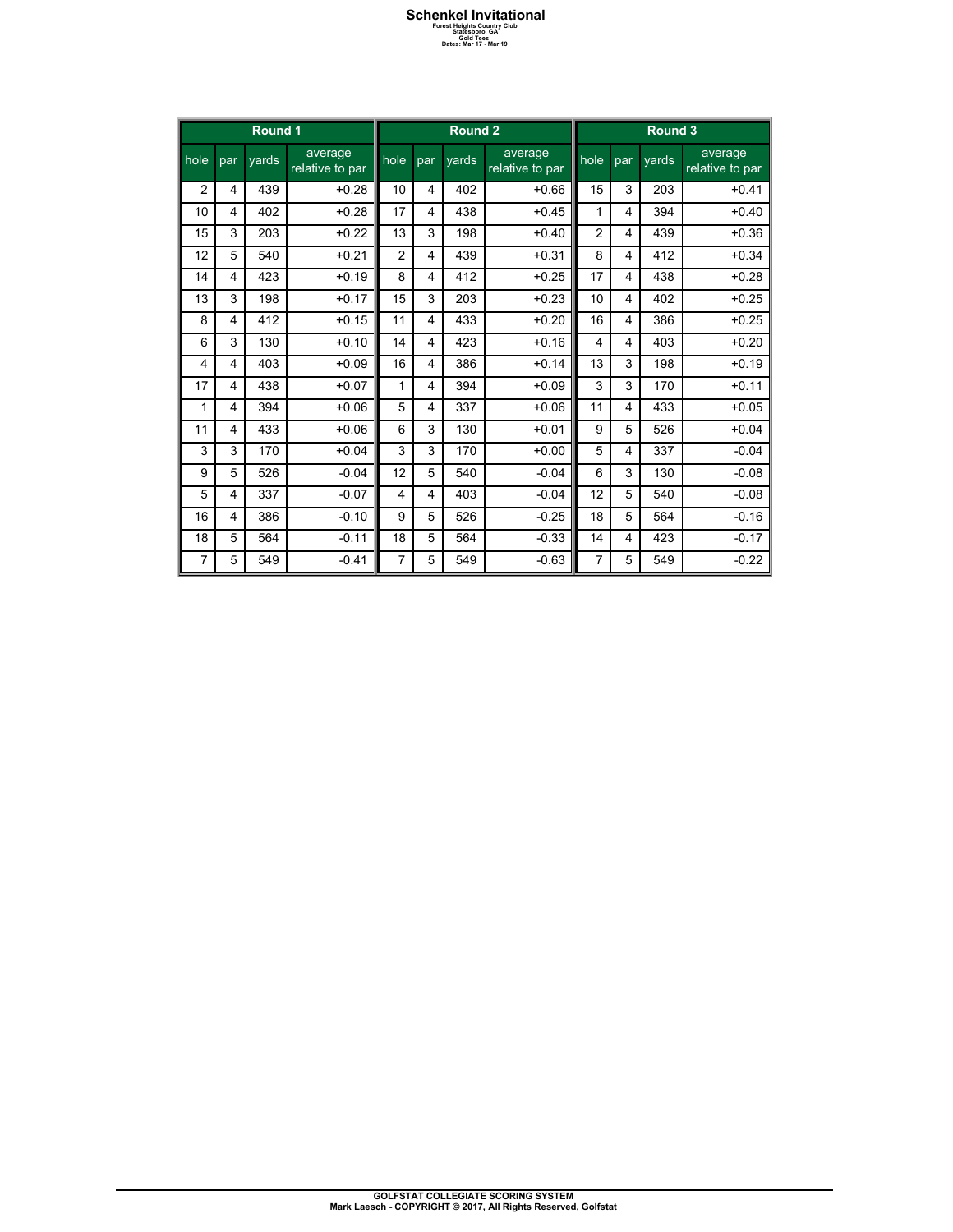## **Schenkel Invitational**<br>
Forest Heights Country Club<br>
Gold Tees<br>
Dates: Mar 17 - Mar 19

|                |     | Round 1             |                            | Round 2        |                |       |                            |                         | Round 3 |       |                            |  |  |
|----------------|-----|---------------------|----------------------------|----------------|----------------|-------|----------------------------|-------------------------|---------|-------|----------------------------|--|--|
| hole           | par | $\overline{y}$ ards | average<br>relative to par | hole           | par            | vards | average<br>relative to par | hole                    | par     | vards | average<br>relative to par |  |  |
| $\overline{2}$ | 4   | 439                 | $+0.28$                    | 10             | 4              | 402   | $+0.66$                    | 15                      | 3       | 203   | $+0.41$                    |  |  |
| 10             | 4   | 402                 | $+0.28$                    | 17             | 4              | 438   | $+0.45$                    | 1                       | 4       | 394   | $+0.40$                    |  |  |
| 15             | 3   | 203                 | $+0.22$                    | 13             | 3              | 198   | $+0.40$                    | $\overline{2}$          | 4       | 439   | $+0.36$                    |  |  |
| 12             | 5   | 540                 | $+0.21$                    | $\overline{2}$ | 4              | 439   | $+0.31$                    | 8                       | 4       | 412   | $+0.34$                    |  |  |
| 14             | 4   | 423                 | $+0.19$                    | 8              | $\overline{4}$ | 412   | $+0.25$                    | 17                      | 4       | 438   | $+0.28$                    |  |  |
| 13             | 3   | 198                 | $+0.17$                    | 15             | 3              | 203   | $+0.23$                    | 10                      | 4       | 402   | $+0.25$                    |  |  |
| 8              | 4   | 412                 | $+0.15$                    | 11             | $\overline{4}$ | 433   | $+0.20$                    | 16                      | 4       | 386   | $+0.25$                    |  |  |
| 6              | 3   | 130                 | $+0.10$                    | 14             | 4              | 423   | $+0.16$                    | $\overline{\mathbf{4}}$ | 4       | 403   | $+0.20$                    |  |  |
| 4              | 4   | 403                 | $+0.09$                    | 16             | 4              | 386   | $+0.14$                    | 13                      | 3       | 198   | $+0.19$                    |  |  |
| 17             | 4   | 438                 | $+0.07$                    | 1              | 4              | 394   | $+0.09$                    | 3                       | 3       | 170   | $+0.11$                    |  |  |
| 1              | 4   | 394                 | $+0.06$                    | 5              | 4              | 337   | $+0.06$                    | 11                      | 4       | 433   | $+0.05$                    |  |  |
| 11             | 4   | 433                 | $+0.06$                    | 6              | 3              | 130   | $+0.01$                    | 9                       | 5       | 526   | $+0.04$                    |  |  |
| 3              | 3   | 170                 | $+0.04$                    | 3              | 3              | 170   | $+0.00$                    | 5                       | 4       | 337   | $-0.04$                    |  |  |
| 9              | 5   | 526                 | $-0.04$                    | 12             | 5              | 540   | $-0.04$                    | 6                       | 3       | 130   | $-0.08$                    |  |  |
| 5              | 4   | 337                 | $-0.07$                    | 4              | 4              | 403   | $-0.04$                    | 12                      | 5       | 540   | $-0.08$                    |  |  |
| 16             | 4   | 386                 | $-0.10$                    | 9              | 5              | 526   | $-0.25$                    | 18                      | 5       | 564   | $-0.16$                    |  |  |
| 18             | 5   | 564                 | $-0.11$                    | 18             | 5              | 564   | $-0.33$                    | 14                      | 4       | 423   | $-0.17$                    |  |  |
| 7              | 5   | 549                 | $-0.41$                    | 7              | 5              | 549   | $-0.63$                    | 7                       | 5       | 549   | $-0.22$                    |  |  |